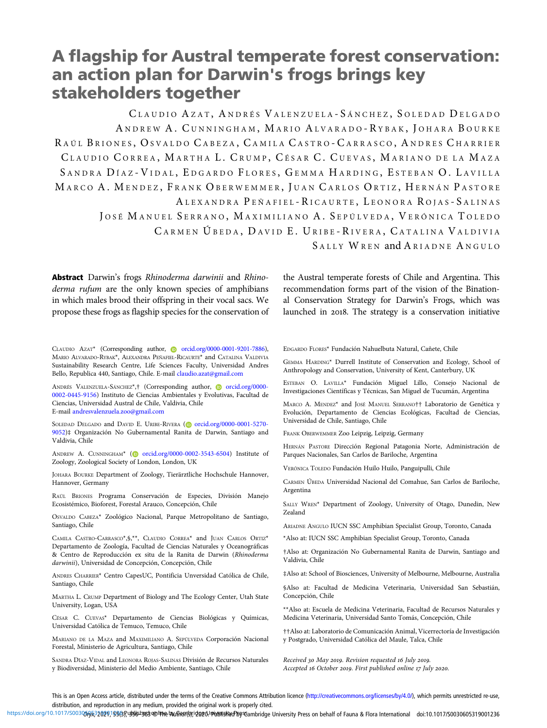# A flagship for Austral temperate forest conservation: an action plan for Darwin's frogs brings key stakeholders together

CLAUDIO AZAT, ANDRÉS VALENZUELA-SÁNCHEZ, SOLEDAD DELGADO ANDREW A. CUNNINGHAM, MARIO ALVARADO-RYBAK, JOHARA BOURKE RAÚL BRIONES, OSVALDO CABEZA, CAMILA CASTRO-CARRASCO, ANDRES CHARRIER CLAUDIO CORREA, MARTHA L. CRUMP, CÉSAR C. CUEVAS, MARIANO DE LA MAZA SANDRA DÍAZ-VIDAL, EDGARDO FLORES, GEMMA HARDING, ESTEBAN O. LAVILLA MARCO A. MENDEZ, FRANK OBERWEMMER, JUAN CARLOS ORTIZ, HERNÁN PASTORE ALEXANDRA PEÑAFIEL - RICAURTE, LEONORA ROJAS - SALINAS JOSÉ MANUEL SERRANO, MAXIMILIANO A. SEPÚLVEDA, VERÓNICA TOLEDO CARMEN ÚBEDA, DAVID E. URIBE-RIVERA, CATALINA VALDIVIA S ALLY W REN and A RIADNE A NGULO

Abstract Darwin's frogs Rhinoderma darwinii and Rhinoderma rufum are the only known species of amphibians in which males brood their offspring in their vocal sacs. We propose these frogs as flagship species for the conservation of the Austral temperate forests of Chile and Argentina. This recommendation forms part of the vision of the Binational Conservation Strategy for Darwin's Frogs, which was launched in 2018. The strategy is a conservation initiative

CLAUDIO AZAT\* (Corresponding author, [orcid.org/0000-0001-9201-7886](https://orcid.org/0000-0001-9201-7886)), MARIO ALVARADO-RYBAK\*, ALEXANDRA PEÑAFIEL-RICAURTE\* and CATALINA VALDIVIA Sustainability Research Centre, Life Sciences Faculty, Universidad Andres Bello, Republica 440, Santiago, Chile. E-mail [claudio.azat@gmail.com](mailto:claudio.azat@gmail.com)

ANDRÉS VALENZUELA-SÁNCHEZ\*,† (Corresponding author, [orcid.org/0000-](https://orcid.org/0000-0002-0445-9156) [0002-0445-9156](https://orcid.org/0000-0002-0445-9156)) Instituto de Ciencias Ambientales y Evolutivas, Facultad de Ciencias, Universidad Austral de Chile, Valdivia, Chile E-mail [andresvalenzuela.zoo@gmail.com](mailto:andresvalenzuela.zoo@gmail.com)

SOLEDAD DELGADO and DAVID E. URIBE-RIVERA [\(](https://orcid.org)@ [orcid.org/0000-0001-5270-](https://orcid.org/0000-0001-5270-9052) [9052](https://orcid.org/0000-0001-5270-9052))‡ Organización No Gubernamental Ranita de Darwin, Santiago and Valdivia, Chile

ANDREW A. CUNNINGHAM<sup>\*</sup> [\(](https://orcid.org) $\bullet$  [orcid.org/0000-0002-3543-6504](https://orcid.org/0000-0002-3543-6504)) Institute of Zoology, Zoological Society of London, London, UK

JOHARA BOURKE Department of Zoology, Tierärztliche Hochschule Hannover, Hannover, Germany

RAÚL BRIONES Programa Conservación de Especies, División Manejo Ecosistémico, Bioforest, Forestal Arauco, Concepción, Chile

OSVALDO CABEZA\* Zoológico Nacional, Parque Metropolitano de Santiago, Santiago, Chile

CAMILA CASTRO-CARRASCO\*,§,\*\*, CLAUDIO CORREA\* and JUAN CARLOS ORTIZ\* Departamento de Zoología, Facultad de Ciencias Naturales y Oceanográficas & Centro de Reproducción ex situ de la Ranita de Darwin (Rhinoderma darwinii), Universidad de Concepción, Concepción, Chile

ANDRES CHARRIER\* Centro CapesUC, Pontificia Unversidad Católica de Chile, Santiago, Chile

MARTHA L. CRUMP Department of Biology and The Ecology Center, Utah State University, Logan, USA

CÉSAR C. CUEVAS\* Departamento de Ciencias Biológicas y Químicas, Universidad Católica de Temuco, Temuco, Chile

MARIANO DE LA MAZA and MAXIMILIANO A. SEPÚLVEDA Corporación Nacional Forestal, Ministerio de Agricultura, Santiago, Chile

SANDRA DÍAZ-VIDAL and LEONORA ROJAS-SALINAS División de Recursos Naturales y Biodiversidad, Ministerio del Medio Ambiente, Santiago, Chile

EDGARDO FLORES\* Fundación Nahuelbuta Natural, Cañete, Chile

GEMMA HARDING\* Durrell Institute of Conservation and Ecology, School of Anthropology and Conservation, University of Kent, Canterbury, UK

ESTEBAN O. LAVILLA\* Fundación Miguel Lillo, Consejo Nacional de Investigaciones Científicas y Técnicas, San Miguel de Tucumán, Argentina

MARCO A. MENDEZ\* and JOSÉ MANUEL SERRANO†† Laboratorio de Genética y Evolución, Departamento de Ciencias Ecológicas, Facultad de Ciencias, Universidad de Chile, Santiago, Chile

FRANK OBERWEMMER Zoo Leipzig, Leipzig, Germany

HERNÁN PASTORE Dirección Regional Patagonia Norte, Administración de Parques Nacionales, San Carlos de Bariloche, Argentina

VERÓNICA TOLEDO Fundación Huilo Huilo, Panguipulli, Chile

CARMEN ÚBEDA Universidad Nacional del Comahue, San Carlos de Bariloche, Argentina

SALLY WREN\* Department of Zoology, University of Otago, Dunedin, New Zealand

ARIADNE ANGULO IUCN SSC Amphibian Specialist Group, Toronto, Canada

\*Also at: IUCN SSC Amphibian Specialist Group, Toronto, Canada

†Also at: Organización No Gubernamental Ranita de Darwin, Santiago and Valdivia, Chile

‡Also at: School of Biosciences, University of Melbourne, Melbourne, Australia

§Also at: Facultad de Medicina Veterinaria, Universidad San Sebastián, Concepción, Chile

\*\*Also at: Escuela de Medicina Veterinaria, Facultad de Recursos Naturales y Medicina Veterinaria, Universidad Santo Tomás, Concepción, Chile

††Also at: Laboratorio de Comunicación Animal, Vicerrectoría de Investigación y Postgrado, Universidad Católica del Maule, Talca, Chile

Received 30 May 2019. Revision requested 16 July 2019. Accepted 16 October 2019. First published online 17 July 2020.

This is an Open Access article, distributed under the terms of the Creative Commons Attribution licence ([http://creativecommons.org/licenses/by/4.0/\)](http://creativecommons.org/licenses/by/4.0/), which permits unrestricted re-use, distribution, and reproduction in any medium, provided the original work is properly cited.

https://doi.org/10.1017/S0030665210201563fyystelset3edline bufleor(s);idged/mehandsted bestandinge University Press on behalf of Fauna & Flora International doi:10.1017/S0030605319001236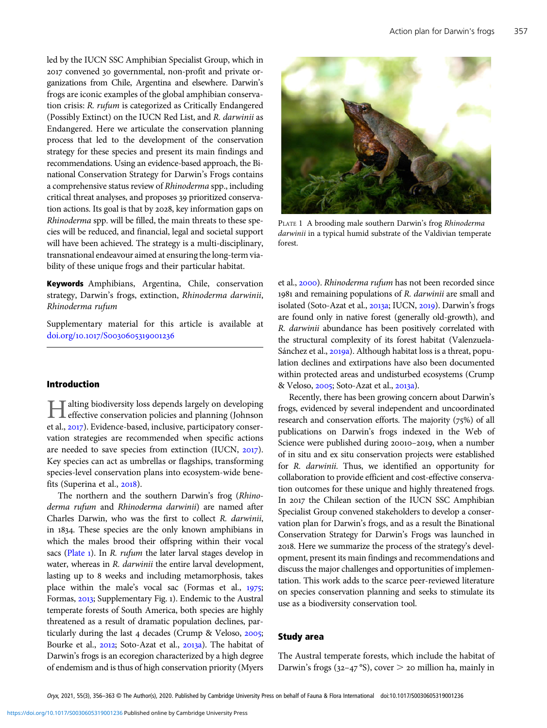led by the IUCN SSC Amphibian Specialist Group, which in 2017 convened 30 governmental, non-profit and private organizations from Chile, Argentina and elsewhere. Darwin's frogs are iconic examples of the global amphibian conservation crisis: R. rufum is categorized as Critically Endangered (Possibly Extinct) on the IUCN Red List, and R. darwinii as Endangered. Here we articulate the conservation planning process that led to the development of the conservation strategy for these species and present its main findings and recommendations. Using an evidence-based approach, the Binational Conservation Strategy for Darwin's Frogs contains a comprehensive status review of Rhinoderma spp., including critical threat analyses, and proposes 39 prioritized conservation actions. Its goal is that by 2028, key information gaps on Rhinoderma spp. will be filled, the main threats to these species will be reduced, and financial, legal and societal support will have been achieved. The strategy is a multi-disciplinary, transnational endeavour aimed at ensuring the long-term viability of these unique frogs and their particular habitat.

Keywords Amphibians, Argentina, Chile, conservation strategy, Darwin's frogs, extinction, Rhinoderma darwinii, Rhinoderma rufum

Supplementary material for this article is available at doi.org/10.1017/S0030605319001236

# Introduction

Halting biodiversity loss depends largely on developing effective conservation policies and planning (Johnson et al., 2017). Evidence-based, inclusive, participatory conservation strategies are recommended when specific actions are needed to save species from extinction (IUCN,  $2017$ ). Key species can act as umbrellas or flagships, transforming species-level conservation plans into ecosystem-wide benefits (Superina et al., 2018).

The northern and the southern Darwin's frog (Rhinoderma rufum and Rhinoderma darwinii) are named after Charles Darwin, who was the first to collect R. darwinii, in 1834. These species are the only known amphibians in which the males brood their offspring within their vocal sacs ( $Plate$ <sub>1</sub>). In *R. rufum* the later larval stages develop in water, whereas in R. darwinii the entire larval development, lasting up to 8 weeks and including metamorphosis, takes place within the male's vocal sac (Formas et al.,  $1975$ ; Formas, 2013; Supplementary Fig. 1). Endemic to the Austral temperate forests of South America, both species are highly threatened as a result of dramatic population declines, particularly during the last  $4$  decades (Crump & Veloso, 2005; Bourke et al., 2012; Soto-Azat et al., 2013a). The habitat of Darwin's frogs is an ecoregion characterized by a high degree of endemism and is thus of high conservation priority (Myers



PLATE 1 A brooding male southern Darwin's frog Rhinoderma darwinii in a typical humid substrate of the Valdivian temperate forest.

et al., 2000). Rhinoderma rufum has not been recorded since 1981 and remaining populations of R. darwinii are small and isolated (Soto-Azat et al., 2013a; IUCN, 2019). Darwin's frogs are found only in native forest (generally old-growth), and R. darwinii abundance has been positively correlated with the structural complexity of its forest habitat (Valenzuela-Sánchez et al., 2019a). Although habitat loss is a threat, population declines and extirpations have also been documented within protected areas and undisturbed ecosystems (Crump & Veloso, 2005; Soto-Azat et al., 2013a).

Recently, there has been growing concern about Darwin's frogs, evidenced by several independent and uncoordinated research and conservation efforts. The majority  $(75%)$  of all publications on Darwin's frogs indexed in the Web of Science were published during 20010-2019, when a number of in situ and ex situ conservation projects were established for R. darwinii. Thus, we identified an opportunity for collaboration to provide efficient and cost-effective conservation outcomes for these unique and highly threatened frogs. In 2017 the Chilean section of the IUCN SSC Amphibian Specialist Group convened stakeholders to develop a conservation plan for Darwin's frogs, and as a result the Binational Conservation Strategy for Darwin's Frogs was launched in . Here we summarize the process of the strategy's development, present its main findings and recommendations and discuss the major challenges and opportunities of implementation. This work adds to the scarce peer-reviewed literature on species conservation planning and seeks to stimulate its use as a biodiversity conservation tool.

# Study area

The Austral temperate forests, which include the habitat of Darwin's frogs (32-47 °S), cover  $>$  20 million ha, mainly in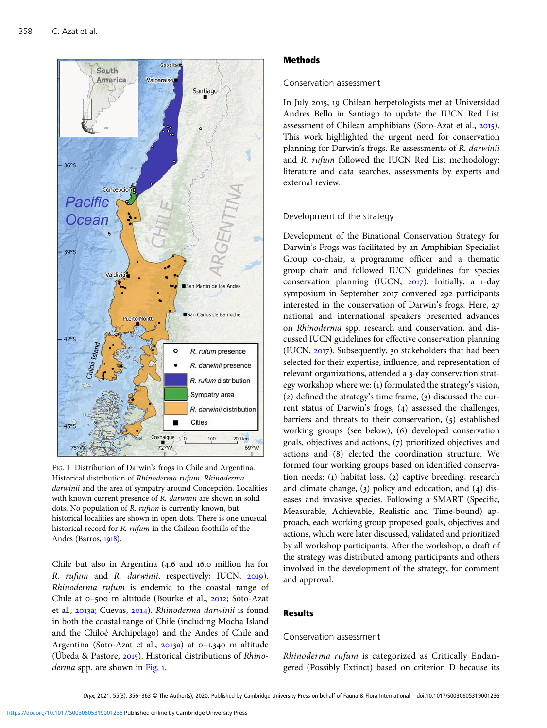<span id="page-2-0"></span>

FIG. 1 Distribution of Darwin's frogs in Chile and Argentina. Historical distribution of Rhinoderma rufum, Rhinoderma darwinii and the area of sympatry around Concepción. Localities with known current presence of R. darwinii are shown in solid dots. No population of R. rufum is currently known, but historical localities are shown in open dots. There is one unusual historical record for R. rufum in the Chilean foothills of the Andes (Barros, 1918).

Chile but also in Argentina  $(4.6 \text{ and } 16.0 \text{ million ha for})$ R. rufum and R. darwinii, respectively; IUCN, 2019). Rhinoderma rufum is endemic to the coastal range of Chile at 0-500 m altitude (Bourke et al., 2012; Soto-Azat et al., 2013a; Cuevas, 2014). Rhinoderma darwinii is found in both the coastal range of Chile (including Mocha Island and the Chiloé Archipelago) and the Andes of Chile and Argentina (Soto-Azat et al.,  $2013a$ ) at 0-1,340 m altitude (Úbeda & Pastore,  $2015$ ). Historical distributions of Rhino $derma$  spp. are shown in Fig. 1.

# Methods

# Conservation assessment

In July 2015, 19 Chilean herpetologists met at Universidad Andres Bello in Santiago to update the IUCN Red List assessment of Chilean amphibians (Soto-Azat et al., 2015). This work highlighted the urgent need for conservation planning for Darwin's frogs. Re-assessments of R. darwinii and R. rufum followed the IUCN Red List methodology: literature and data searches, assessments by experts and external review.

# Development of the strategy

Development of the Binational Conservation Strategy for Darwin's Frogs was facilitated by an Amphibian Specialist Group co-chair, a programme officer and a thematic group chair and followed IUCN guidelines for species conservation planning (IUCN, 2017). Initially, a 1-day symposium in September 2017 convened 292 participants interested in the conservation of Darwin's frogs. Here, national and international speakers presented advances on Rhinoderma spp. research and conservation, and discussed IUCN guidelines for effective conservation planning (IUCN, 2017). Subsequently, 30 stakeholders that had been selected for their expertise, influence, and representation of relevant organizations, attended a 3-day conservation strategy workshop where we:  $(i)$  formulated the strategy's vision, (2) defined the strategy's time frame,  $(3)$  discussed the current status of Darwin's frogs, (4) assessed the challenges, barriers and threats to their conservation,  $(5)$  established working groups (see below), (6) developed conservation goals, objectives and actions,  $(7)$  prioritized objectives and actions and (8) elected the coordination structure. We formed four working groups based on identified conservation needs: (1) habitat loss, (2) captive breeding, research and climate change,  $(3)$  policy and education, and  $(4)$  diseases and invasive species. Following a SMART (Specific, Measurable, Achievable, Realistic and Time-bound) approach, each working group proposed goals, objectives and actions, which were later discussed, validated and prioritized by all workshop participants. After the workshop, a draft of the strategy was distributed among participants and others involved in the development of the strategy, for comment and approval.

# Results

Rhinoderma rufum is categorized as Critically Endangered (Possibly Extinct) based on criterion D because its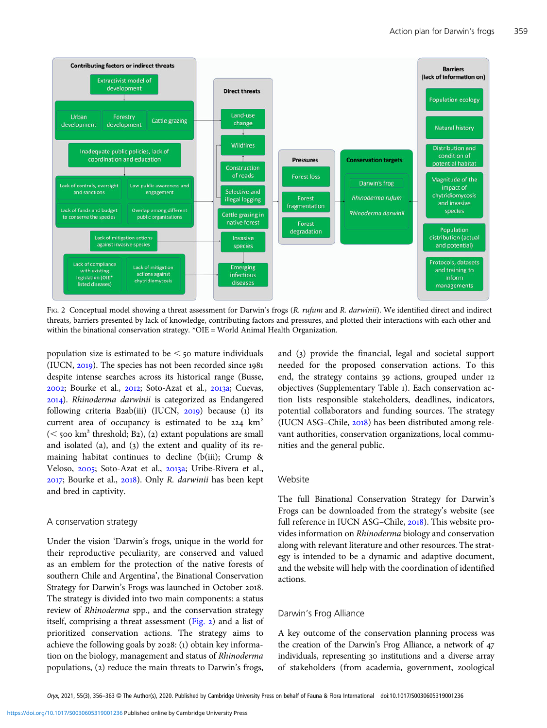<span id="page-3-0"></span>

FIG. 2 Conceptual model showing a threat assessment for Darwin's frogs (R. rufum and R. darwinii). We identified direct and indirect threats, barriers presented by lack of knowledge, contributing factors and pressures, and plotted their interactions with each other and within the binational conservation strategy. \*OIE = World Animal Health Organization.

population size is estimated to be  $\leq$  50 mature individuals (IUCN,  $2019$ ). The species has not been recorded since 1981 despite intense searches across its historical range (Busse,  $2002$ ; Bourke et al.,  $2012$ ; Soto-Azat et al.,  $2013a$ ; Cuevas, ). Rhinoderma darwinii is categorized as Endangered following criteria B2ab(iii) (IUCN,  $2019$ ) because (1) its current area of occupancy is estimated to be  $224 \text{ km}^2$  $(<$  500 km<sup>2</sup> threshold; B2), (2) extant populations are small and isolated (a), and (3) the extent and quality of its remaining habitat continues to decline (b(iii); Crump & Veloso, 2005; Soto-Azat et al., 2013a; Uribe-Rivera et al., 2017; Bourke et al., 2018). Only R. darwinii has been kept and bred in captivity.

### A conservation strategy

Under the vision 'Darwin's frogs, unique in the world for their reproductive peculiarity, are conserved and valued as an emblem for the protection of the native forests of southern Chile and Argentina', the Binational Conservation Strategy for Darwin's Frogs was launched in October 2018. The strategy is divided into two main components: a status review of Rhinoderma spp., and the conservation strategy itself, comprising a threat assessment (Fig. 2) and a list of prioritized conservation actions. The strategy aims to achieve the following goals by  $2028$ : (1) obtain key information on the biology, management and status of Rhinoderma populations, (2) reduce the main threats to Darwin's frogs,

and (3) provide the financial, legal and societal support needed for the proposed conservation actions. To this end, the strategy contains 39 actions, grouped under 12 objectives (Supplementary Table ). Each conservation action lists responsible stakeholders, deadlines, indicators, potential collaborators and funding sources. The strategy (IUCN ASG–Chile,  $2018$ ) has been distributed among relevant authorities, conservation organizations, local communities and the general public.

# Website

The full Binational Conservation Strategy for Darwin's Frogs can be downloaded from the strategy's website (see full reference in IUCN ASG-Chile, 2018). This website provides information on Rhinoderma biology and conservation along with relevant literature and other resources. The strategy is intended to be a dynamic and adaptive document, and the website will help with the coordination of identified actions.

# Darwin's Frog Alliance

A key outcome of the conservation planning process was the creation of the Darwin's Frog Alliance, a network of individuals, representing 30 institutions and a diverse array of stakeholders (from academia, government, zoological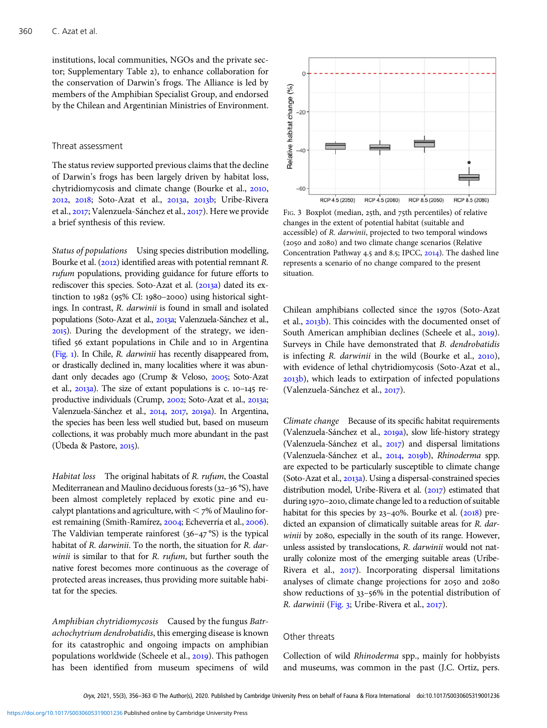institutions, local communities, NGOs and the private sector; Supplementary Table 2), to enhance collaboration for the conservation of Darwin's frogs. The Alliance is led by members of the Amphibian Specialist Group, and endorsed by the Chilean and Argentinian Ministries of Environment.

### Threat assessment

The status review supported previous claims that the decline of Darwin's frogs has been largely driven by habitat loss, chytridiomycosis and climate change (Bourke et al., 2010, 2012, 2018; Soto-Azat et al., 2013a, 2013b; Uribe-Rivera et al., 2017; Valenzuela-Sánchez et al., 2017). Here we provide a brief synthesis of this review.

Status of populations Using species distribution modelling, Bourke et al.  $(2012)$  identified areas with potential remnant R. rufum populations, providing guidance for future efforts to rediscover this species. Soto-Azat et al. (2013a) dated its extinction to  $1982$  ( $95\%$  CI:  $1980-2000$ ) using historical sightings. In contrast, R. darwinii is found in small and isolated populations (Soto-Azat et al., 2013a; Valenzuela-Sánchez et al., ). During the development of the strategy, we identified 56 extant populations in Chile and 10 in Argentina [\(Fig.](#page-2-0) ). In Chile, R. darwinii has recently disappeared from, or drastically declined in, many localities where it was abundant only decades ago (Crump & Veloso, 2005; Soto-Azat et al.,  $2013a$ ). The size of extant populations is c.  $10-145$  reproductive individuals (Crump, 2002; Soto-Azat et al., 2013a; Valenzuela-Sánchez et al., 2014, 2017, 2019a). In Argentina, the species has been less well studied but, based on museum collections, it was probably much more abundant in the past (Úbeda & Pastore,  $2015$ ).

Habitat loss The original habitats of R. rufum, the Coastal Mediterranean and Maulino deciduous forests (32-36  $\degree$ S), have been almost completely replaced by exotic pine and eucalypt plantations and agriculture, with  $<$  7% of Maulino forest remaining (Smith-Ramírez, 2004; Echeverría et al., 2006). The Valdivian temperate rainforest  $(36-47°S)$  is the typical habitat of R. darwinii. To the north, the situation for R. darwinii is similar to that for R. rufum, but further south the native forest becomes more continuous as the coverage of protected areas increases, thus providing more suitable habitat for the species.

Amphibian chytridiomycosis Caused by the fungus Batrachochytrium dendrobatidis, this emerging disease is known for its catastrophic and ongoing impacts on amphibian populations worldwide (Scheele et al., 2019). This pathogen has been identified from museum specimens of wild



FIG. 3 Boxplot (median, 25th, and 75th percentiles) of relative changes in the extent of potential habitat (suitable and accessible) of R. darwinii, projected to two temporal windows (2050 and 2080) and two climate change scenarios (Relative Concentration Pathway 4.5 and 8.5; IPCC, 2014). The dashed line represents a scenario of no change compared to the present situation.

Chilean amphibians collected since the 1970s (Soto-Azat et al., 2013b). This coincides with the documented onset of South American amphibian declines (Scheele et al., 2019). Surveys in Chile have demonstrated that B. dendrobatidis is infecting  $R$ . *darwinii* in the wild (Bourke et al.,  $2010$ ), with evidence of lethal chytridiomycosis (Soto-Azat et al., 2013b), which leads to extirpation of infected populations (Valenzuela-Sánchez et al., 2017).

Climate change Because of its specific habitat requirements (Valenzuela-Sánchez et al., 2019a), slow life-history strategy (Valenzuela-Sánchez et al., 2017) and dispersal limitations (Valenzuela-Sánchez et al., 2014, 2019b), Rhinoderma spp. are expected to be particularly susceptible to climate change (Soto-Azat et al., 2013a). Using a dispersal-constrained species distribution model, Uribe-Rivera et al.  $(2017)$  estimated that during 1970-2010, climate change led to a reduction of suitable habitat for this species by  $23-40\%$ . Bourke et al. ( $2018$ ) predicted an expansion of climatically suitable areas for R. darwinii by 2080, especially in the south of its range. However, unless assisted by translocations, R. darwinii would not naturally colonize most of the emerging suitable areas (Uribe-Rivera et al., 2017). Incorporating dispersal limitations analyses of climate change projections for 2050 and 2080 show reductions of  $33-56\%$  in the potential distribution of R. darwinii (Fig. 3; Uribe-Rivera et al., 2017).

Collection of wild Rhinoderma spp., mainly for hobbyists and museums, was common in the past (J.C. Ortiz, pers.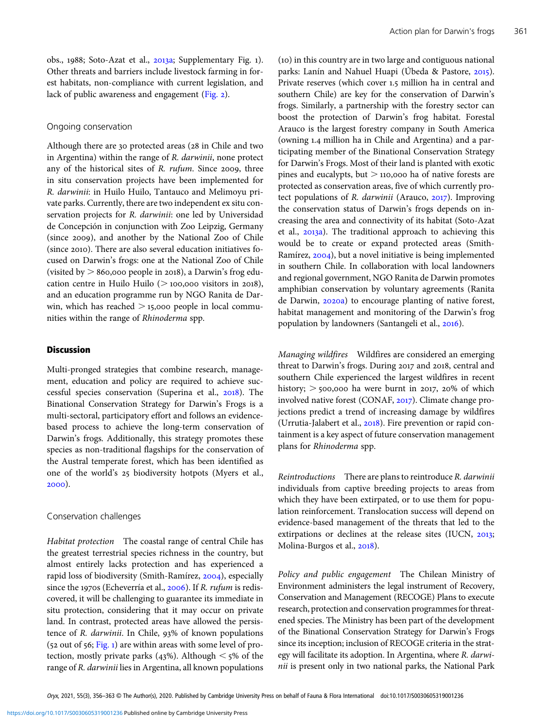obs., 1988; Soto-Azat et al.,  $2013a$ ; Supplementary Fig. 1). Other threats and barriers include livestock farming in forest habitats, non-compliance with current legislation, and lack of public awareness and engagement ([Fig.](#page-3-0) 2).

#### Ongoing conservation

Although there are 30 protected areas (28 in Chile and two in Argentina) within the range of R. darwinii, none protect any of the historical sites of  $R$ . rufum. Since 2009, three in situ conservation projects have been implemented for R. darwinii: in Huilo Huilo, Tantauco and Melimoyu private parks. Currently, there are two independent ex situ conservation projects for R. darwinii: one led by Universidad de Concepción in conjunction with Zoo Leipzig, Germany (since 2009), and another by the National Zoo of Chile (since 2010). There are also several education initiatives focused on Darwin's frogs: one at the National Zoo of Chile (visited by  $> 860,000$  people in 2018), a Darwin's frog education centre in Huilo Huilo  $(> 100,000)$  visitors in 2018), and an education programme run by NGO Ranita de Darwin, which has reached  $>$  15,000 people in local communities within the range of Rhinoderma spp.

# **Discussion**

Multi-pronged strategies that combine research, management, education and policy are required to achieve successful species conservation (Superina et al., 2018). The Binational Conservation Strategy for Darwin's Frogs is a multi-sectoral, participatory effort and follows an evidencebased process to achieve the long-term conservation of Darwin's frogs. Additionally, this strategy promotes these species as non-traditional flagships for the conservation of the Austral temperate forest, which has been identified as one of the world's 25 biodiversity hotpots (Myers et al., 2000).

### Conservation challenges

Habitat protection The coastal range of central Chile has the greatest terrestrial species richness in the country, but almost entirely lacks protection and has experienced a rapid loss of biodiversity (Smith-Ramírez, 2004), especially since the 1970s (Echeverría et al., 2006). If R. rufum is rediscovered, it will be challenging to guarantee its immediate in situ protection, considering that it may occur on private land. In contrast, protected areas have allowed the persistence of  $R$ . *darwinii*. In Chile, 93% of known populations  $(52$  out of 56; [Fig.](#page-2-0) 1) are within areas with some level of protection, mostly private parks (43%). Although  $\leq$  5% of the range of R. darwinii lies in Argentina, all known populations () in this country are in two large and contiguous national parks: Lanín and Nahuel Huapi (Úbeda & Pastore, 2015). Private reserves (which cover 1.5 million ha in central and southern Chile) are key for the conservation of Darwin's frogs. Similarly, a partnership with the forestry sector can boost the protection of Darwin's frog habitat. Forestal Arauco is the largest forestry company in South America (owning 1.4 million ha in Chile and Argentina) and a participating member of the Binational Conservation Strategy for Darwin's Frogs. Most of their land is planted with exotic pines and eucalypts, but  $>$  110,000 ha of native forests are protected as conservation areas, five of which currently protect populations of  $R$ . *darwinii* (Arauco, 2017). Improving the conservation status of Darwin's frogs depends on increasing the area and connectivity of its habitat (Soto-Azat et al., 2013a). The traditional approach to achieving this would be to create or expand protected areas (Smith-Ramírez, 2004), but a novel initiative is being implemented in southern Chile. In collaboration with local landowners and regional government, NGO Ranita de Darwin promotes amphibian conservation by voluntary agreements (Ranita de Darwin, 2020a) to encourage planting of native forest, habitat management and monitoring of the Darwin's frog population by landowners (Santangeli et al., 2016).

Managing wildfires Wildfires are considered an emerging threat to Darwin's frogs. During 2017 and 2018, central and southern Chile experienced the largest wildfires in recent history;  $>$  500,000 ha were burnt in 2017, 20% of which involved native forest (CONAF, 2017). Climate change projections predict a trend of increasing damage by wildfires (Urrutia-Jalabert et al., 2018). Fire prevention or rapid containment is a key aspect of future conservation management plans for Rhinoderma spp.

Reintroductions There are plans to reintroduce R. darwinii individuals from captive breeding projects to areas from which they have been extirpated, or to use them for population reinforcement. Translocation success will depend on evidence-based management of the threats that led to the extirpations or declines at the release sites (IUCN, 2013; Molina-Burgos et al., 2018).

Policy and public engagement The Chilean Ministry of Environment administers the legal instrument of Recovery, Conservation and Management (RECOGE) Plans to execute research, protection and conservation programmes for threatened species. The Ministry has been part of the development of the Binational Conservation Strategy for Darwin's Frogs since its inception; inclusion of RECOGE criteria in the strategy will facilitate its adoption. In Argentina, where R. darwinii is present only in two national parks, the National Park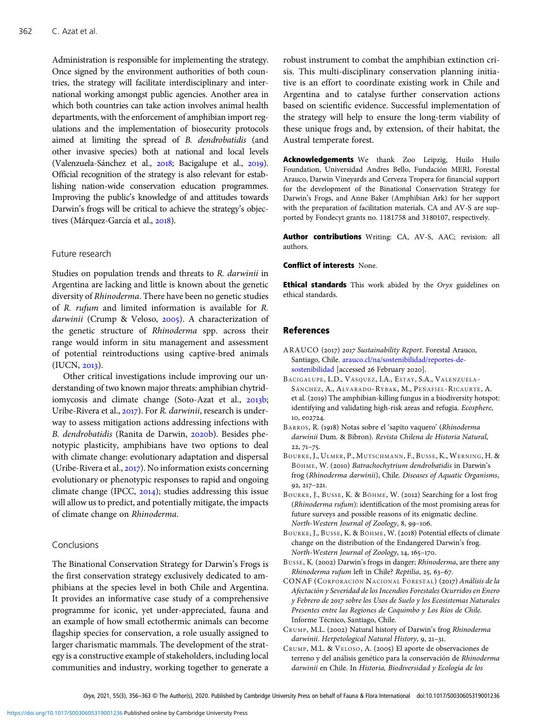<span id="page-6-0"></span>Administration is responsible for implementing the strategy. Once signed by the environment authorities of both countries, the strategy will facilitate interdisciplinary and international working amongst public agencies. Another area in which both countries can take action involves animal health departments, with the enforcement of amphibian import regulations and the implementation of biosecurity protocols aimed at limiting the spread of B. dendrobatidis (and other invasive species) both at national and local levels (Valenzuela-Sánchez et al., 2018; Bacigalupe et al., 2019). Official recognition of the strategy is also relevant for establishing nation-wide conservation education programmes. Improving the public's knowledge of and attitudes towards Darwin's frogs will be critical to achieve the strategy's objectives (Márquez-García et al., 2018).

Studies on population trends and threats to R. darwinii in Argentina are lacking and little is known about the genetic diversity of Rhinoderma. There have been no genetic studies of R. rufum and limited information is available for R. darwinii (Crump & Veloso,  $2005$ ). A characterization of the genetic structure of Rhinoderma spp. across their range would inform in situ management and assessment of potential reintroductions using captive-bred animals (IUCN, 2013).

Other critical investigations include improving our understanding of two known major threats: amphibian chytridiomycosis and climate change (Soto-Azat et al., 2013b; Uribe-Rivera et al., 2017). For R. darwinii, research is underway to assess mitigation actions addressing infections with B. dendrobatidis (Ranita de Darwin, 2020b). Besides phenotypic plasticity, amphibians have two options to deal with climate change: evolutionary adaptation and dispersal (Uribe-Rivera et al.,  $2017$ ). No information exists concerning evolutionary or phenotypic responses to rapid and ongoing climate change (IPCC,  $2014$ ); studies addressing this issue will allow us to predict, and potentially mitigate, the impacts of climate change on Rhinoderma.

#### Conclusions

The Binational Conservation Strategy for Darwin's Frogs is the first conservation strategy exclusively dedicated to amphibians at the species level in both Chile and Argentina. It provides an informative case study of a comprehensive programme for iconic, yet under-appreciated, fauna and an example of how small ectothermic animals can become flagship species for conservation, a role usually assigned to larger charismatic mammals. The development of the strategy is a constructive example of stakeholders, including local communities and industry, working together to generate a

robust instrument to combat the amphibian extinction crisis. This multi-disciplinary conservation planning initiative is an effort to coordinate existing work in Chile and Argentina and to catalyse further conservation actions based on scientific evidence. Successful implementation of the strategy will help to ensure the long-term viability of these unique frogs and, by extension, of their habitat, the Austral temperate forest.

Acknowledgements We thank Zoo Leipzig, Huilo Huilo Foundation, Universidad Andres Bello, Fundación MERI, Forestal Arauco, Darwin Vineyards and Cerveza Tropera for financial support for the development of the Binational Conservation Strategy for Darwin's Frogs, and Anne Baker (Amphibian Ark) for her support with the preparation of facilitation materials. CA and AV-S are supported by Fondecyt grants no. 1181758 and 3180107, respectively.

Author contributions Writing: CA, AV-S, AAC; revision: all authors.

### Conflict of interests None.

**Ethical standards** This work abided by the Oryx guidelines on ethical standards.

# References

- ARAUCO (2017) 2017 Sustainability Report. Forestal Arauco, Santiago, Chile. [arauco.cl/na/sostenibilidad/reportes-de](http://www.arauco.cl/na/sostenibilidad/reportes-de-sostenibilidad)[sostenibilidad](http://www.arauco.cl/na/sostenibilidad/reportes-de-sostenibilidad) [accessed 26 February 2020].
- BACIGALUPE, L.D., VÁSQUEZ, I.A., ESTAY, S.A., VALENZUELA-SÁNCHEZ, A., ALVARADO-RYBAK, M., PEÑAFIEL-RICAURTE, A. et al. (2019) The amphibian-killing fungus in a biodiversity hotspot: identifying and validating high-risk areas and refugia. Ecosphere, 10, e02724.
- BARROS, R. (1918) Notas sobre el 'sapito vaquero' (Rhinoderma darwinii Dum. & Bibron). Revista Chilena de Historia Natural,  $22.71 - 75.$
- BOURKE, J., ULMER, P., MUTSCHMANN, F., BUSSE, K., WERNING, H. & BÖHME, W. (2010) Batrachochytrium dendrobatidis in Darwin's frog (Rhinoderma darwinii), Chile. Diseases of Aquatic Organisms,  $92, 217 - 221.$
- BOURKE, J., BUSSE, K. & BÖHME, W. (2012) Searching for a lost frog (Rhinoderma rufum): identification of the most promising areas for future surveys and possible reasons of its enigmatic decline. North-Western Journal of Zoology, 8, 99-106.
- BOURKE, J., BUSSE, K. & BÖHME, W. (2018) Potential effects of climate change on the distribution of the Endangered Darwin's frog. North-Western Journal of Zoology, 14, 165-170.
- BUSSE, K. (2002) Darwin's frogs in danger; Rhinoderma, are there any Rhinoderma rufum left in Chile? Reptilia, 25, 63-67.
- CONAF (CORPORACIÓN NACIONAL FORESTAL) (2017) Análisis de la Afectación y Severidad de los Incendios Forestales Ocurridos en Enero y Febrero de 2017 sobre los Usos de Suelo y los Ecosistemas Naturales Presentes entre las Regiones de Coquimbo y Los Ríos de Chile. Informe Técnico, Santiago, Chile.
- CRUMP, M.L. (2002) Natural history of Darwin's frog Rhinoderma darwinii. Herpetological Natural History, 9, 21-31.
- CRUMP, M.L. & VELOSO, A. (2005) El aporte de observaciones de terreno y del análisis genético para la conservación de Rhinoderma darwinii en Chile. In Historia, Biodiversidad y Ecología de los